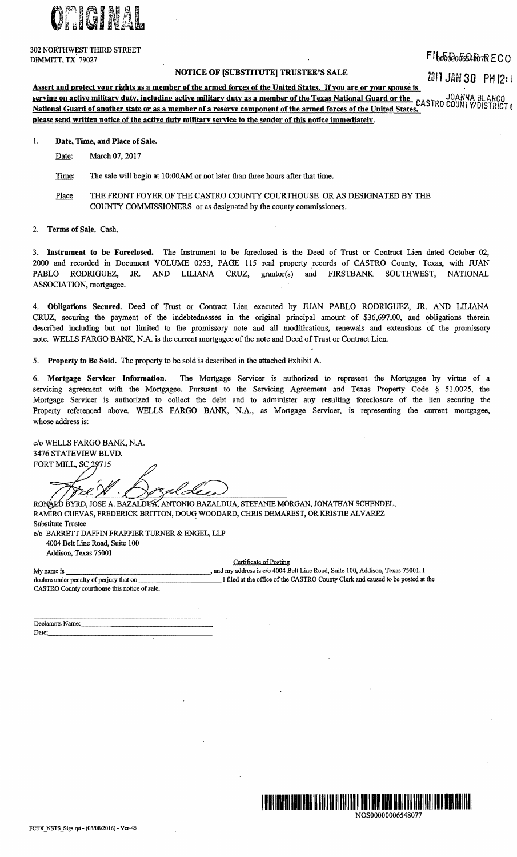ONIGHNAL

302 NORTHWEST THIRD STREET

 $FI_{b}$  $b$  $\bar{b}$  $a$  $\bar{b}$  $a$  $\bar{b}$  $\bar{c}$  $\bar{a}$  $\bar{b}$  $\bar{c}$  $R$  $E C$   $O$ 

## NOTICE OF [SUBSTITUTE] TRUSTEE'S SALE

Z811 JAN 30 PM 12= I

Assert and protect your rights as a member of the armed forces of the United States. If you are or your spouse is Assert and protect your rights as a member of the armed to the Onitor Castle Control Cuard or the USANNA BLAHCO<br>Serving on active military duty, including active military duty as a member of the Texas National Guard or the National Guard of another state or as a member of a reserve component of the armed forces of the United States, please send written notice of the active dutv militarv service to the sender of this notice immediately.

- 1. Date, Time, and Place of Sale.
	- Date: March 07, 2017

Time: The sale will begin at 10:00AM or not later than three hours after that time.

- Place THE FRONT FOYER OF THE CASTRO COUNTY COURTHOUSE OR AS DESIGNATED BY THE COUNTY COMMISSIONERS or as designated by the county commissioners.
- 2. Terms of Sale. Cash.

3. Instrument to he Foreclosed. The Instrument to be foreclosed is the Deed of Trust or Contract Lien dated October 02, 2000 and recorded in Document VOLUME 0253, PAGE 115 real property records of CASTRO County, Texas, with JUAN PABLO RODRIGUEZ, JR. AND LILIANA CRUZ, grantor(s) and FIRSTBANK SOUTHWEST, NATIONAL ASSOCIATION, mortgagee.

4. Obligations Secured. Deed of Trust or Contract Lien executed by JUAN PABLO RODRIGUEZ, JR. AND LILIANA CRUZ, securing the payment of the indebtednesses in the original principal amount of \$36,697.00, and obligations therein described including but not limited to the promissory note and all modifications, renewals and extensions of the promissory note. WELLS FARGO BANK, N.A. is the current mortgagee of the note and Deed of Trust or Contract Lien.

5. Property to Be Sold. The property to be sold is described in the attached Exhibit A.

6. Mortgage Servicer Information. The Mortgage Servicer is authorized to represent the Mortgagee by virtue of a servicing agreement with the Mortgagee. Pursuant to the Servicing Agreement and Texas Property Code § 51.0025, the Mortgage Servicer is authorized to collect the debt and to administer any resulting foreclosure of the lien securing the Property referenced above. WELLS FARGO BANK, N.A., as Mortgage Servicer, is representing the current mortgagee, whose address is:

c/o WELLS FARGO BANK, N.A. 3476 STATEVIEW BLVD.<br>FORT MILL, SC 29715 Lex テゴー

RONALD BYRD, JOSE A. BAZALDUA, ANTONIO BAZALDUA, STEFANIE MORGAN, JONATHAN SCHENDEL, RAMIRO CUEVAS, FREDERICK BRITTON, DOUG WOODARD, CHRIS DEMAREST, OR KRISTIE ALVAREZ Substitute Trustee

*clo* BARRETI DAFFIN FRAPPIER TURNER & ENGEL, LLP 4004 Belt Line Road, Suite 100 Addison, Texas 75001

Certificate of Posting

My name is \_\_\_\_\_\_\_\_\_\_\_\_\_\_---". and my address is *clo* 4004 Belt Line Road, Suite 100, Addison, Texas 75001. I I filed at the office of the CASTRO County Clerk and caused to be posted at the CASTRO County courthouse this notice of sale.

| Declarants Name: |
|------------------|
| Date:<br>        |